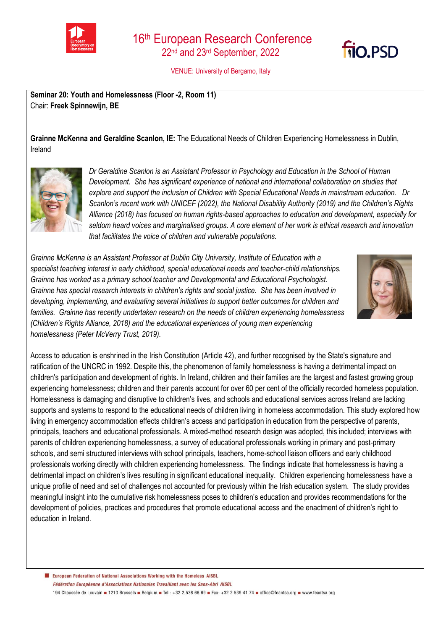



VENUE: University of Bergamo, Italy

**Seminar 20: Youth and Homelessness (Floor -2, Room 11)**  Chair: **Freek Spinnewijn, BE**

**Grainne McKenna and Geraldine Scanlon, IE:** The Educational Needs of Children Experiencing Homelessness in Dublin, Ireland



*Dr Geraldine Scanlon is an Assistant Professor in Psychology and Education in the School of Human Development. She has significant experience of national and international collaboration on studies that explore and support the inclusion of Children with Special Educational Needs in mainstream education. Dr Scanlon's recent work with UNICEF (2022), the National Disability Authority (2019) and the Children's Rights Alliance (2018) has focused on human rights-based approaches to education and development, especially for seldom heard voices and marginalised groups. A core element of her work is ethical research and innovation that facilitates the voice of children and vulnerable populations.* 

*Grainne McKenna is an Assistant Professor at Dublin City University, Institute of Education with a specialist teaching interest in early childhood, special educational needs and teacher-child relationships. Grainne has worked as a primary school teacher and Developmental and Educational Psychologist. Grainne has special research interests in children's rights and social justice. She has been involved in developing, implementing, and evaluating several initiatives to support better outcomes for children and families. Grainne has recently undertaken research on the needs of children experiencing homelessness (Children's Rights Alliance, 2018) and the educational experiences of young men experiencing homelessness (Peter McVerry Trust, 2019).*



Access to education is enshrined in the Irish Constitution (Article 42), and further recognised by the State's signature and ratification of the UNCRC in 1992. Despite this, the phenomenon of family homelessness is having a detrimental impact on children's participation and development of rights. In Ireland, children and their families are the largest and fastest growing group experiencing homelessness; children and their parents account for over 60 per cent of the officially recorded homeless population. Homelessness is damaging and disruptive to children's lives, and schools and educational services across Ireland are lacking supports and systems to respond to the educational needs of children living in homeless accommodation. This study explored how living in emergency accommodation effects children's access and participation in education from the perspective of parents, principals, teachers and educational professionals. A mixed-method research design was adopted, this included; interviews with parents of children experiencing homelessness, a survey of educational professionals working in primary and post-primary schools, and semi structured interviews with school principals, teachers, home-school liaison officers and early childhood professionals working directly with children experiencing homelessness. The findings indicate that homelessness is having a detrimental impact on children's lives resulting in significant educational inequality. Children experiencing homelessness have a unique profile of need and set of challenges not accounted for previously within the Irish education system. The study provides meaningful insight into the cumulative risk homelessness poses to children's education and provides recommendations for the development of policies, practices and procedures that promote educational access and the enactment of children's right to education in Ireland.

European Federation of National Associations Working with the Homeless AISBL Fédération Européenne d'Associations Nationales Travaillant avec les Sans-Abri AISBL 194 Chaussée de Louvain 1210 Brussels Belgium B Tel.: +32 2 538 66 69 B Fax: +32 2 539 41 74 B office@feantsa.org B www.feantsa.org